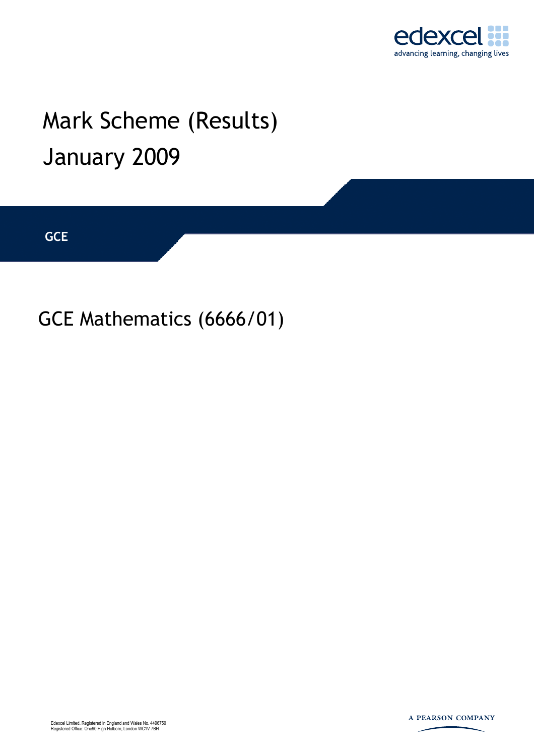

## Mark Scheme (Results) January 2009

**GCE** 

GCE Mathematics (6666/01)



A PEARSON COMPANY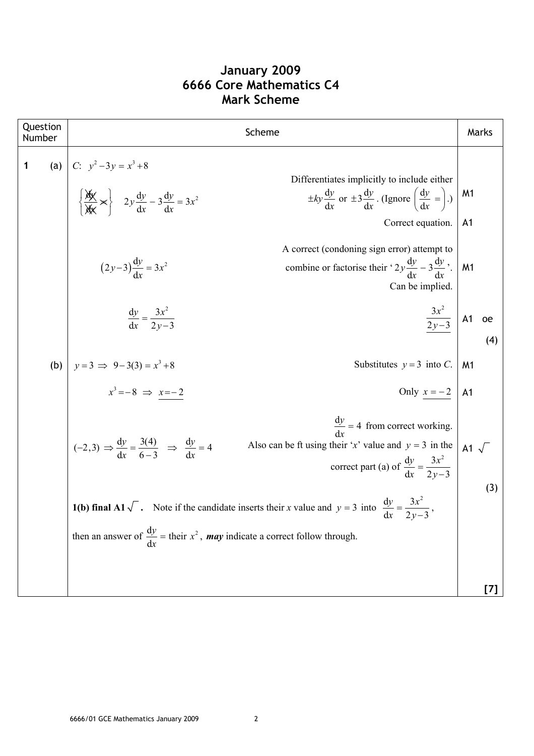| Question<br>Number | Scheme                                                                                                                                                                                                                                                                                                                             |                                  | Marks |
|--------------------|------------------------------------------------------------------------------------------------------------------------------------------------------------------------------------------------------------------------------------------------------------------------------------------------------------------------------------|----------------------------------|-------|
| 1                  | (a)   C: $y^2-3y = x^3+8$<br>$\left\{\frac{dy}{dx} \times \right\}$ $2y \frac{dy}{dx} - 3 \frac{dy}{dx} = 3x^2$<br>Differentiates implicitly to include either<br>$\pm ky \frac{dy}{dx}$ or $\pm 3 \frac{dy}{dx}$ . (Ignore $\left(\frac{dy}{dx} = \right)$ .)<br>Correct equation.<br>A correct (condoning sign error) attempt to | M <sub>1</sub><br>A <sub>1</sub> |       |
|                    | $(2y-3)\frac{dy}{dx} = 3x^2$<br>combine or factorise their ' $2y \frac{dy}{dx} - 3 \frac{dy}{dx}$ '.<br>Can be implied.                                                                                                                                                                                                            | M <sub>1</sub>                   |       |
|                    | $\frac{3x^2}{2y-3}$ A1 oe<br>$\frac{dy}{dx} = \frac{3x^2}{2y-3}$                                                                                                                                                                                                                                                                   |                                  | (4)   |
|                    | (b) $y = 3 \implies 9-3(3) = x^3 + 8$<br>Substitutes $y = 3$ into C.                                                                                                                                                                                                                                                               | M <sub>1</sub>                   |       |
|                    | $x^3 = -8 \Rightarrow x = -2$<br>Only $x = -2$   A1                                                                                                                                                                                                                                                                                |                                  |       |
|                    | $\frac{dy}{dx}$ = 4 from correct working.<br>$(-2,3)$ $\Rightarrow \frac{dy}{dx} = \frac{3(4)}{6-3}$ $\Rightarrow \frac{dy}{dx} = 4$<br>Also can be ft using their 'x' value and $y = 3$ in the<br>correct part (a) of $\frac{dy}{dx} = \frac{3x^2}{2y-3}$                                                                         | A1 $\sqrt{ }$                    | (3)   |
|                    | <b>1(b) final A1</b> $\sqrt{\phantom{a}}$ . Note if the candidate inserts their x value and $y = 3$ into $\frac{dy}{dx} = \frac{3x^2}{2y - 3}$ ,                                                                                                                                                                                   |                                  |       |
|                    | then an answer of $\frac{dy}{dx}$ = their $x^2$ , <b>may</b> indicate a correct follow through.                                                                                                                                                                                                                                    |                                  |       |
|                    |                                                                                                                                                                                                                                                                                                                                    |                                  | [7]   |

## **January 2009 6666 Core Mathematics C4 Mark Scheme**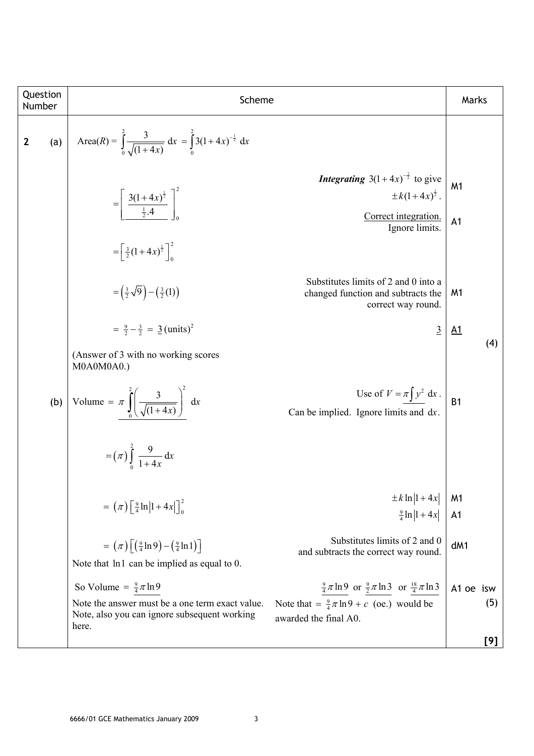| Question                                                                                     | Scheme                                                                                                          | Scheme                                               |                             |                 |                 |                    |
|----------------------------------------------------------------------------------------------|-----------------------------------------------------------------------------------------------------------------|------------------------------------------------------|-----------------------------|-----------------|-----------------|--------------------|
| 2                                                                                            | (a) $\text{Area}(R) = \int_{0}^{2} \frac{3}{\sqrt{(1+4x)}} dx = \int_{0}^{2} 3(1+4x)^{-\frac{1}{2}} dx$         | <i>Integrating</i> $3(1+4x)^{-\frac{1}{2}} dx$ gives | $\pm k(1+4x)^{\frac{1}{2}}$ | <i>M1</i>       |                 |                    |
| \n $= \left[\frac{3(1+4x)^{\frac{1}{2}}}{\frac{1}{2}(1+4x)^{\frac{1}{2}}}\right]_{0}^{2}$ \n | \n <i>Integrating</i> $3(1+4x)^{-\frac{1}{2}} dx$ is give                                                       | $\pm k(1+4x)^{\frac{1}{2}}$ .                        |                             |                 |                 |                    |
| \n $= \left[\frac{1}{2}(1+4x)^{\frac{1}{2}}\right]_{0}^{2}$ \n                               | \n        Substitutes limits of 2 and 0 into a changed function and subtracts the correct way round.\n          | <i>M1</i>                                            |                             |                 |                 |                    |
| \n $= \frac{3}{2} - \frac{3}{2} = 3 \text{ (units)}^2$ \n                                    | \n <i>Substitutes limits of 2 and 0 into a change direction and subtracts the correct way round.\n      </i> \n | \n <i>M1</i>                                         |                             |                 |                 |                    |
| \n        (Answer of 3 with no working scores\n                                              | \n        Can be implied. Ignore limits and dx.\n                                                               | \n        (4)\n                                      |                             |                 |                 |                    |
| \n        (a) $= (\pi) \left[\frac{2}{4} \ln 1+4x \right]_{0}^{2}$ \n                        | \n        Can be implied. Ignore limits of 2 and 0.\n                                                           | \n        (4)\n                                      |                             |                 |                 |                    |
| \n        (5)\n                                                                              | \n        (4)\n                                                                                                 | \n        (5)\n                                      | \n        (5)\n             | \n        (6)\n | \n        (6)\n | \n        (7)\left |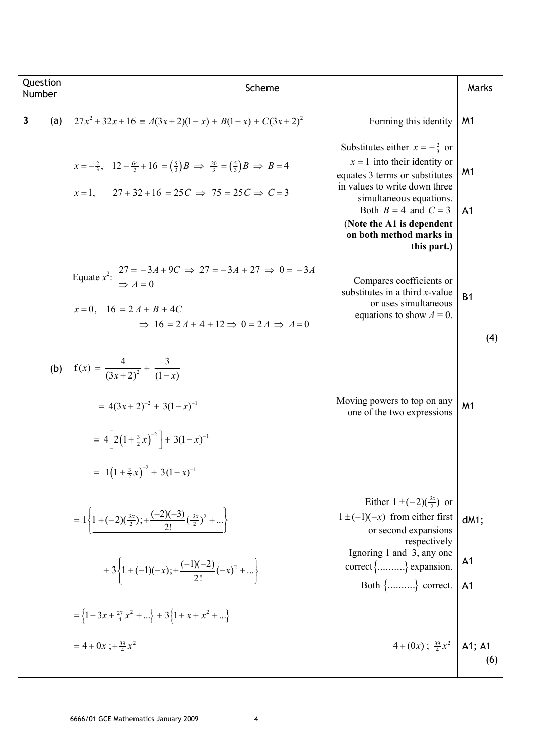| Question<br>Number  | Scheme                                                                                                                                                                                                                 |                                                                                                                                                                                                                                                                             | Marks                                    |
|---------------------|------------------------------------------------------------------------------------------------------------------------------------------------------------------------------------------------------------------------|-----------------------------------------------------------------------------------------------------------------------------------------------------------------------------------------------------------------------------------------------------------------------------|------------------------------------------|
| $\mathbf{3}$<br>(a) | $27x^2 + 32x + 16 \equiv A(3x + 2)(1 - x) + B(1 - x) + C(3x + 2)^2$                                                                                                                                                    | Forming this identity                                                                                                                                                                                                                                                       | M1                                       |
|                     | $x=-\frac{2}{3}$ , $12-\frac{64}{3}+16=(\frac{5}{3})B \Rightarrow \frac{20}{3}=(\frac{5}{3})B \Rightarrow B=4$<br>$27 + 32 + 16 = 25C \implies 75 = 25C \implies C = 3$<br>$x=1$ ,                                     | Substitutes either $x = -\frac{2}{3}$ or<br>$x = 1$ into their identity or<br>equates 3 terms or substitutes<br>in values to write down three<br>simultaneous equations.<br>Both $B = 4$ and $C = 3$<br>(Note the A1 is dependent<br>on both method marks in<br>this part.) | M <sub>1</sub><br>A <sub>1</sub>         |
|                     | Equate $x^2$ : $27 = -3A + 9C \Rightarrow 27 = -3A + 27 \Rightarrow 0 = -3A$<br>$\Rightarrow A = 0$<br>$x=0$ , $16 = 2A + B + 4C$<br>$\Rightarrow$ 16 = 2A + 4 + 12 $\Rightarrow$ 0 = 2A $\Rightarrow$ A = 0           | Compares coefficients or<br>substitutes in a third $x$ -value<br>or uses simultaneous<br>equations to show $A = 0$ .                                                                                                                                                        | <b>B1</b><br>(4)                         |
|                     | (b) $f(x) = \frac{4}{(3x+2)^2} + \frac{3}{(1-x)}$<br>$= 4(3x+2)^{-2} + 3(1-x)^{-1}$<br>= $4\left[2\left(1+\frac{3}{2}x\right)^{-2}\right]+3(1-x)^{-1}$<br>= $1(1+\frac{3}{2}x)^{-2}$ + 3 $(1-x)^{-1}$                  | Moving powers to top on any<br>one of the two expressions                                                                                                                                                                                                                   | M <sub>1</sub>                           |
|                     | = $1\left\{1+(-2)(\frac{3x}{2});+\frac{(-2)(-3)}{2!}(\frac{3x}{2})^2+\dots\right\}$<br>+ 3 $\left\{1+(-1)(-x);+\frac{(-1)(-2)}{2!}(-x)^2+\right\}$<br>$=\left\{1-3x+\frac{27}{4}x^2+\right\}+3\left\{1+x+x^2+\right\}$ | Either $1 \pm (-2)(\frac{3x}{2})$ or<br>$1 \pm (-1)(-x)$ from either first<br>or second expansions<br>respectively<br>Ignoring 1 and 3, any one<br>correct $\{\dots \dots \}$ expansion.<br>Both $\{\dots \dots \}$ correct.                                                | dM1;<br>A <sub>1</sub><br>A <sub>1</sub> |
|                     | $= 4 + 0x$ ; + $\frac{39}{4}x^2$                                                                                                                                                                                       | $4 + (0x)$ ; $\frac{39}{4}x^2$   A1; A1                                                                                                                                                                                                                                     | (6)                                      |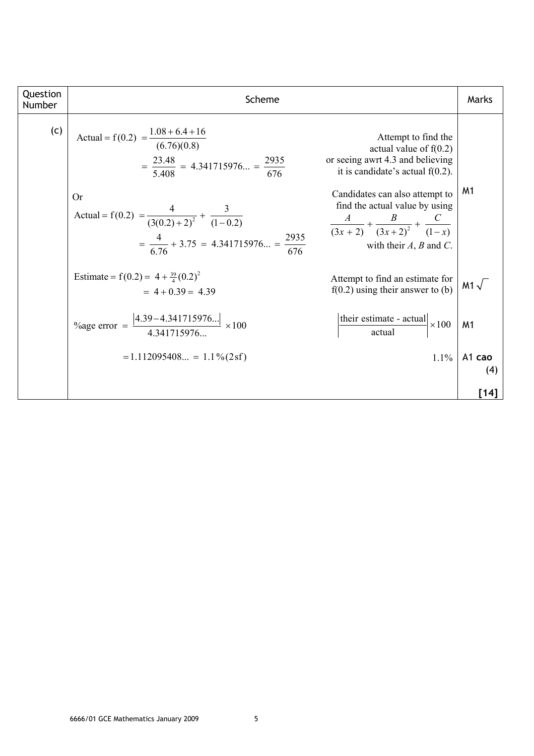| Question<br>Number | Scheme                                                                                                                                                                                                                                              |                                                                                                                                                                                                                                                                                          | Marks          |
|--------------------|-----------------------------------------------------------------------------------------------------------------------------------------------------------------------------------------------------------------------------------------------------|------------------------------------------------------------------------------------------------------------------------------------------------------------------------------------------------------------------------------------------------------------------------------------------|----------------|
| (c)                | Actual = $f(0.2) = \frac{1.08 + 6.4 + 16}{(6.76)(0.8)}$<br>$=\frac{23.48}{5.408} = 4.341715976 = \frac{2935}{676}$<br>Or<br>Actual = f(0.2) = $\frac{4}{(3(0.2) + 2)^2} + \frac{3}{(1-0.2)}$<br>$=\frac{4}{6.76}+3.75=4.341715976=\frac{2935}{676}$ | Attempt to find the<br>actual value of $f(0.2)$<br>or seeing awrt 4.3 and believing<br>it is candidate's actual $f(0.2)$ .<br>Candidates can also attempt to<br>find the actual value by using<br>$rac{A}{(3x+2)} + \frac{B}{(3x+2)^2} + \frac{C}{(1-x)}$<br>with their $A, B$ and $C$ . | M <sub>1</sub> |
|                    | Estimate = $f(0.2) = 4 + \frac{39}{4}(0.2)^2$<br>$= 4 + 0.39 = 4.39$                                                                                                                                                                                | Attempt to find an estimate for<br>$f(0.2)$ using their answer to (b)                                                                                                                                                                                                                    | M1 $\sqrt{ }$  |
|                    | %age error = $\frac{ 4.39 - 4.341715976 }{4.341715976} \times 100$                                                                                                                                                                                  | their estimate - actual $\times 100$                                                                                                                                                                                                                                                     | M <sub>1</sub> |
|                    | $= 1.112095408 = 1.1\% (2sf)$                                                                                                                                                                                                                       | 1.1%                                                                                                                                                                                                                                                                                     | A1 cao<br>(4)  |
|                    |                                                                                                                                                                                                                                                     |                                                                                                                                                                                                                                                                                          | $[14]$         |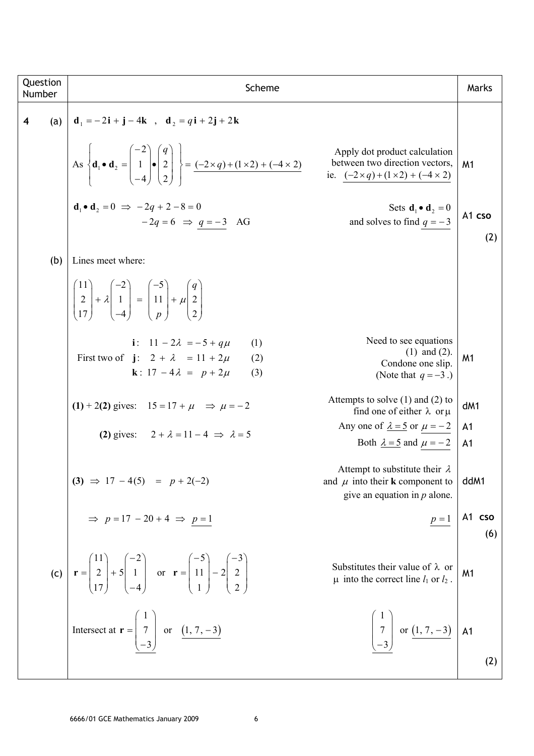| Question<br>Number      |     | Scheme                                                                                                                                                                                                                             |                                                                                                                       | Marks                            |
|-------------------------|-----|------------------------------------------------------------------------------------------------------------------------------------------------------------------------------------------------------------------------------------|-----------------------------------------------------------------------------------------------------------------------|----------------------------------|
| $\overline{\mathbf{4}}$ | (a) | $d_1 = -2i + j - 4k$ , $d_2 = qi + 2j + 2k$                                                                                                                                                                                        |                                                                                                                       |                                  |
|                         |     | $\left \text{As}\begin{matrix} \mathbf{d}_1 \bullet \mathbf{d}_2 = \begin{bmatrix} -2 \\ 1 \\ -4 \end{bmatrix} \bullet \begin{bmatrix} q \\ 2 \\ 2 \end{bmatrix} \right  = \frac{(-2 \times q) + (1 \times 2) + (-4 \times 2)}{2}$ | Apply dot product calculation<br>between two direction vectors,<br>ie. $(-2 \times q) + (1 \times 2) + (-4 \times 2)$ | M1                               |
|                         |     | $d \cdot d = 0 \implies -2q + 2 - 8 = 0$<br>$-2q = 6 \implies q = -3$ AG                                                                                                                                                           | Sets $\mathbf{d}_1 \bullet \mathbf{d}_2 = 0$<br>and solves to find $q = -3$                                           | A1 cso<br>(2)                    |
|                         | (b) | Lines meet where:                                                                                                                                                                                                                  |                                                                                                                       |                                  |
|                         |     | $\begin{bmatrix} 11 \\ 2 \\ 17 \end{bmatrix} + \lambda \begin{bmatrix} -2 \\ 1 \\ 1 \end{bmatrix} = \begin{bmatrix} -5 \\ 11 \\ 1 \end{bmatrix} + \mu \begin{bmatrix} q \\ 2 \\ 2 \end{bmatrix}$                                   |                                                                                                                       |                                  |
|                         |     | i: $11 - 2\lambda = -5 + a\mu$<br>(1)<br>First two of $\mathbf{j}: 2 + \lambda = 11 + 2\mu$<br>(2)<br><b>k</b> : $17 - 4\lambda = p + 2\mu$<br>(3)                                                                                 | Need to see equations<br>$(1)$ and $(2)$ .<br>Condone one slip.<br>(Note that $q = -3$ .)                             | M <sub>1</sub>                   |
|                         |     | (1) + 2(2) gives: $15 = 17 + \mu \implies \mu = -2$                                                                                                                                                                                | Attempts to solve $(1)$ and $(2)$ to<br>find one of either $\lambda$ or $\mu$                                         | dM1                              |
|                         |     | (2) gives: $2 + \lambda = 11 - 4 \implies \lambda = 5$                                                                                                                                                                             | Any one of $\lambda = 5$ or $\mu = -2$<br>Both $\lambda = 5$ and $\mu = -2$                                           | A <sub>1</sub><br>A <sub>1</sub> |
|                         |     | (3) $\Rightarrow$ 17 - 4(5) = p + 2(-2)                                                                                                                                                                                            | Attempt to substitute their $\lambda$<br>and $\mu$ into their <b>k</b> component to<br>give an equation in $p$ alone. | ddM1                             |
|                         |     | $\Rightarrow$ $p = 17 - 20 + 4 \Rightarrow p = 1$                                                                                                                                                                                  |                                                                                                                       | $p=1$ A1 cso<br>(6)              |
|                         |     | (c) $\mathbf{r} = \begin{pmatrix} 11 \\ 2 \\ 17 \end{pmatrix} + 5 \begin{pmatrix} -2 \\ 1 \\ -4 \end{pmatrix}$ or $\mathbf{r} = \begin{pmatrix} -5 \\ 11 \\ 1 \end{pmatrix} - 2 \begin{pmatrix} -3 \\ 2 \\ 2 \end{pmatrix}$        | Substitutes their value of $\lambda$ or<br>$\mu$ into the correct line $l_1$ or $l_2$ .                               | M <sub>1</sub>                   |
|                         |     | Intersect at $\mathbf{r} = \begin{pmatrix} 1 \\ 7 \\ -3 \end{pmatrix}$ or $\underline{(1, 7, -3)}$                                                                                                                                 | $\begin{bmatrix} 1 \\ 7 \\ -3 \end{bmatrix}$ or $(1, 7, -3)$ A1                                                       |                                  |
|                         |     |                                                                                                                                                                                                                                    |                                                                                                                       | (2)                              |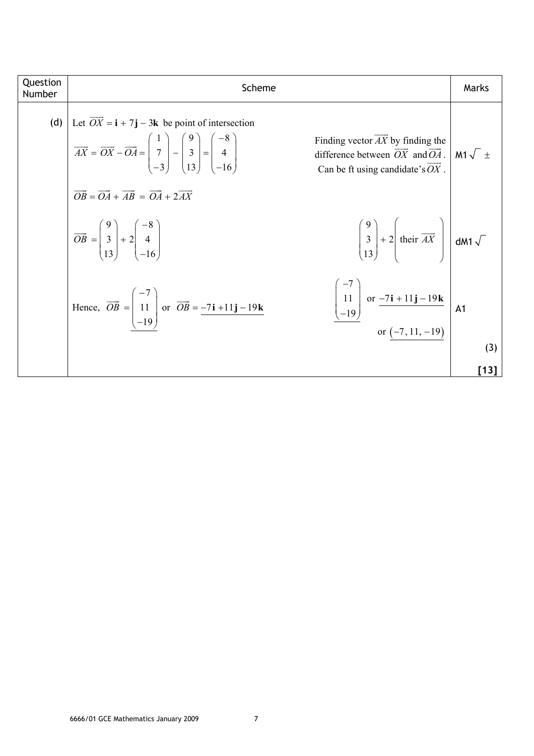| Question<br>Number | Scheme                                                                                                                                                                                                                                                                                                                                                                                                                                                                       | Marks               |
|--------------------|------------------------------------------------------------------------------------------------------------------------------------------------------------------------------------------------------------------------------------------------------------------------------------------------------------------------------------------------------------------------------------------------------------------------------------------------------------------------------|---------------------|
|                    | (d) Let $\overrightarrow{OX} = \mathbf{i} + 7\mathbf{j} - 3\mathbf{k}$ be point of intersection<br>Finding vector $AX$ by finding the<br>$\overrightarrow{AX} = \overrightarrow{OX} - \overrightarrow{OA} = \begin{pmatrix} 1 \\ 7 \\ -3 \end{pmatrix} - \begin{pmatrix} 9 \\ 3 \\ 13 \end{pmatrix} = \begin{pmatrix} -8 \\ 4 \\ -16 \end{pmatrix}$<br>difference between $\overrightarrow{OX}$ and $\overrightarrow{OA}$ .<br>Can be ft using candidate's $\overline{OX}$ . | M1 $\sqrt{ }$ $\pm$ |
|                    | $\overrightarrow{OB} = \overrightarrow{OA} + \overrightarrow{AB} = \overrightarrow{OA} + 2\overrightarrow{AX}$<br>$\begin{pmatrix} 9 \\ 3 \\ 13 \end{pmatrix} + 2 \left  \text{ their } \overrightarrow{AX} \right  \text{ dM1 } \sqrt{\ }$<br>$\overrightarrow{OB} = \begin{bmatrix} 9 \\ 3 \\ 13 \end{bmatrix} + 2 \begin{bmatrix} -8 \\ 4 \\ 16 \end{bmatrix}$                                                                                                            |                     |
|                    | $\begin{bmatrix} -7 \\ 11 \\ -19 \end{bmatrix}$ or $\frac{-7i + 11j - 19k}{$ or $\frac{(-7, 11, -19)}{2}$ A1<br>Hence, $\overrightarrow{OB} = \begin{pmatrix} -7 \\ 11 \\ -19 \end{pmatrix}$ or $\overrightarrow{OB} = \frac{-7i + 11j - 19k}{ }$                                                                                                                                                                                                                            |                     |
|                    |                                                                                                                                                                                                                                                                                                                                                                                                                                                                              | (3)                 |
|                    |                                                                                                                                                                                                                                                                                                                                                                                                                                                                              | [13]                |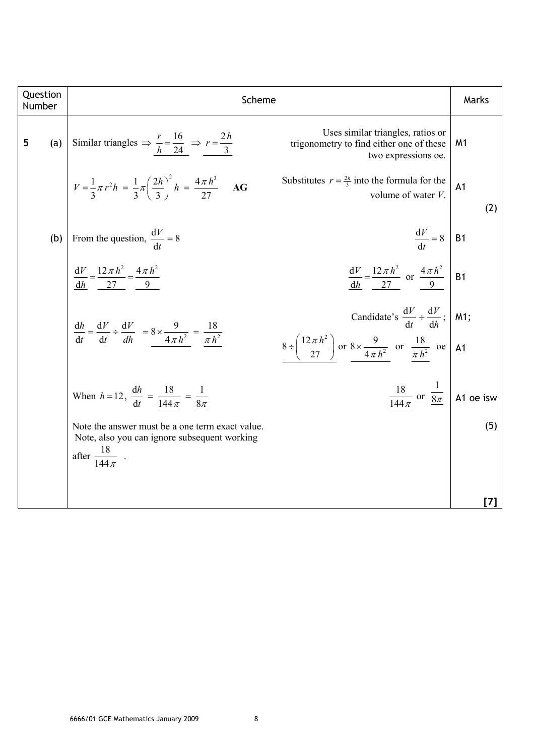| Number | Question | Scheme                                                                                                                                             |                                                                                                                                                                                      | Marks                 |
|--------|----------|----------------------------------------------------------------------------------------------------------------------------------------------------|--------------------------------------------------------------------------------------------------------------------------------------------------------------------------------------|-----------------------|
| 5      | (a)      | Similar triangles $\Rightarrow$ $\frac{r}{h} = \frac{16}{24} \Rightarrow r = \frac{2h}{3}$                                                         | Uses similar triangles, ratios or<br>trigonometry to find either one of these<br>two expressions oe.                                                                                 | M1                    |
|        |          | $V = \frac{1}{3}\pi r^2 h = \frac{1}{3}\pi \left(\frac{2h}{3}\right)^2 h = \frac{4\pi h^3}{27}$<br>AG                                              | Substitutes $r = \frac{2h}{3}$ into the formula for the<br>volume of water V.                                                                                                        | A <sub>1</sub><br>(2) |
|        | (b)      | From the question, $\frac{dV}{dt} = 8$                                                                                                             | $\frac{dV}{dt} = 8$ B1                                                                                                                                                               |                       |
|        |          | $\frac{dV}{dh} = \frac{12\pi h^2}{27} = \frac{4\pi h^2}{9}$                                                                                        | $rac{\mathrm{d}V}{\mathrm{d}h} = \frac{12\,\pi\,h^2}{27}$ or $rac{4\,\pi\,h^2}{9}$                                                                                                   | <b>B1</b>             |
|        |          | $\frac{\mathrm{d}h}{\mathrm{d}t} = \frac{\mathrm{d}V}{\mathrm{d}t} \div \frac{\mathrm{d}V}{dh} = 8 \times \frac{9}{4\pi h^2} = \frac{18}{\pi h^2}$ | Candidate's $\frac{dV}{dt} \div \frac{dV}{dh}$ ;   M1;<br>$8 \div \left(\frac{12\pi h^2}{27}\right)$ or $8 \times \frac{9}{4\pi h^2}$ or $\frac{18}{\pi h^2}$ oe $\left  A1 \right $ |                       |
|        |          | When $h = 12$ , $\frac{dh}{dt} = \frac{18}{144 \pi} = \frac{1}{8\pi}$                                                                              | $\frac{18}{144\pi}$ or $\frac{1}{8\pi}$ A1 oe isw                                                                                                                                    |                       |
|        |          | Note the answer must be a one term exact value.<br>Note, also you can ignore subsequent working<br>after $\frac{18}{144 \pi}$ .                    |                                                                                                                                                                                      | (5)                   |
|        |          |                                                                                                                                                    |                                                                                                                                                                                      | $\vert I \vert$       |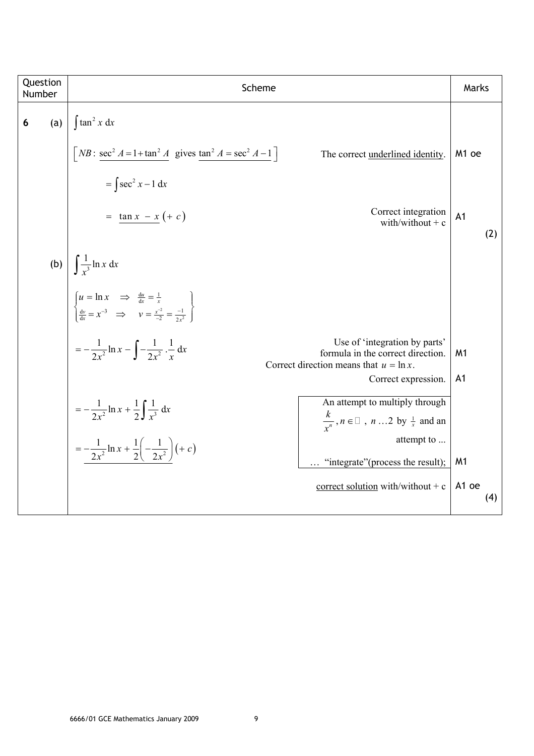| Question<br>Number |     | Scheme                                                                                                                                                                                | Marks                 |
|--------------------|-----|---------------------------------------------------------------------------------------------------------------------------------------------------------------------------------------|-----------------------|
| 6                  | (a) | $\int \tan^2 x dx$                                                                                                                                                                    |                       |
|                    |     | $\left[ NB : \frac{\sec^2 A = 1 + \tan^2 A}{\sec^2 A} \right]$ gives $\tan^2 A = \sec^2 A - 1$<br>The correct underlined identity.                                                    | M <sub>1</sub> oe     |
|                    |     | $=\int \sec^2 x - 1 dx$                                                                                                                                                               |                       |
|                    |     | Correct integration<br>$=$ $\tan x - x (+ c)$<br>with/without $+ c$                                                                                                                   | A <sub>1</sub><br>(2) |
|                    |     | (b) $\int \frac{1}{x^3} \ln x \, dx$                                                                                                                                                  |                       |
|                    |     | $\begin{cases}\nu = \ln x & \implies \frac{du}{dx} = \frac{1}{x} \\ \frac{dv}{dx} = x^{-3} & \implies v = \frac{x^{-2}}{-2} = \frac{-1}{2x^2}\n\end{cases}$                           |                       |
|                    |     | $=-\frac{1}{2x^2}\ln x - \int -\frac{1}{2x^2}\cdot\frac{1}{x} dx$<br>Use of 'integration by parts'<br>formula in the correct direction.<br>Correct direction means that $u = \ln x$ . | M <sub>1</sub>        |
|                    |     | Correct expression.                                                                                                                                                                   | A <sub>1</sub>        |
|                    |     | An attempt to multiply through<br>$=-\frac{1}{2x^2}\ln x + \frac{1}{2}\int \frac{1}{x^3} dx$<br>$\frac{k}{r^n}$ , $n \in \mathbb{Z}$ , $n \dots 2$ by $\frac{1}{x}$ and an            |                       |
|                    |     | attempt to<br>$=-\frac{1}{2x^2}\ln x + \frac{1}{2}\left(-\frac{1}{2x^2}\right)(+c)$<br>"integrate" (process the result);                                                              | M <sub>1</sub>        |
|                    |     | correct solution with/without + $c$                                                                                                                                                   | A1 oe<br>(4)          |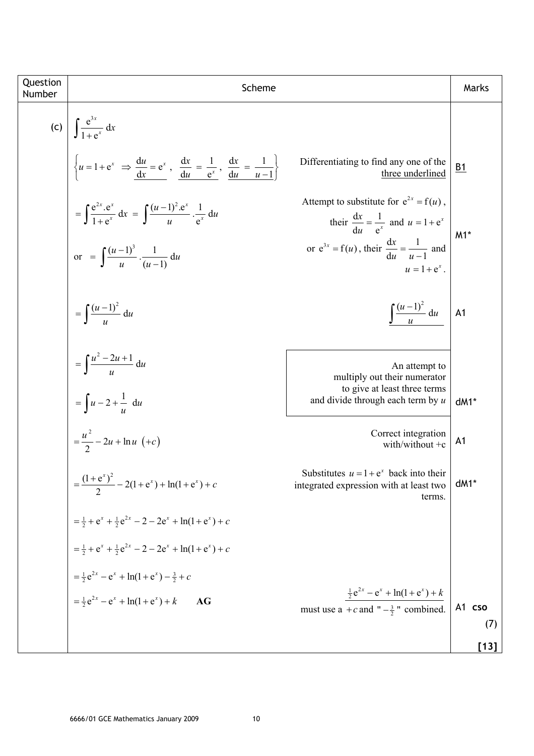| Question<br>Number | Scheme                                                                                                                             |                                                                                                        | Marks            |
|--------------------|------------------------------------------------------------------------------------------------------------------------------------|--------------------------------------------------------------------------------------------------------|------------------|
|                    | (c) $\int \frac{e^{3x}}{1+e^{x}} dx$                                                                                               |                                                                                                        |                  |
|                    | $\begin{cases} u = 1 + e^x \implies \frac{du}{dx} = e^x, \frac{dx}{du} = \frac{1}{e^x}, \frac{dx}{du} = \frac{1}{u-1} \end{cases}$ | Differentiating to find any one of the<br>three underlined                                             | $\underline{B1}$ |
|                    | $= \int \frac{e^{2x} \cdot e^x}{1 + e^x} dx = \int \frac{(u-1)^2 \cdot e^x}{u} \cdot \frac{1}{e^x} du$                             | Attempt to substitute for $e^{2x} = f(u)$ ,<br>their $\frac{dx}{du} = \frac{1}{e^x}$ and $u = 1 + e^x$ | $M1*$            |
|                    | or = $\int \frac{(u-1)^3}{u} \cdot \frac{1}{(u-1)} du$                                                                             | or $e^{3x} = f(u)$ , their $\frac{dx}{du} = \frac{1}{u-1}$ and<br>$u = 1 + e^{x}$ .                    |                  |
|                    | $= \int \frac{(u-1)^2}{u} du$                                                                                                      | $\int \frac{(u-1)^2}{u} \, \mathrm{d}u$                                                                | A1               |
|                    | $=\int \frac{u^2-2u+1}{u} du$                                                                                                      | An attempt to<br>multiply out their numerator<br>to give at least three terms                          |                  |
|                    | $=\int u-2+\frac{1}{u} du$                                                                                                         | and divide through each term by $u$                                                                    | $dM1*$           |
|                    | $=\frac{u^{2}}{2}-2u+\ln u \, (+c)$                                                                                                | Correct integration<br>with/without $+c$                                                               | A <sub>1</sub>   |
|                    | $=\frac{(1+e^x)^2}{2}-2(1+e^x)+\ln(1+e^x)+c$                                                                                       | Substitutes $u = 1 + e^x$ back into their<br>integrated expression with at least two<br>terms.         | dM1*             |
|                    | $=\frac{1}{2} + e^{x} + \frac{1}{2}e^{2x} - 2 - 2e^{x} + \ln(1 + e^{x}) + c$                                                       |                                                                                                        |                  |
|                    | $=\frac{1}{2}+e^{x}+\frac{1}{2}e^{2x}-2-2e^{x}+ln(1+e^{x})+c$                                                                      |                                                                                                        |                  |
|                    | $=\frac{1}{2}e^{2x}-e^x+\ln(1+e^x)-\frac{3}{2}+c$                                                                                  |                                                                                                        |                  |
|                    | $=\frac{1}{2}e^{2x}-e^x+\ln(1+e^x)+k$<br>AG                                                                                        | $\frac{1}{2}e^{2x} - e^x + \ln(1 + e^x) + k$<br>must use a +c and " $-\frac{3}{2}$ " combined.         | A1 cso<br>(7)    |
|                    |                                                                                                                                    |                                                                                                        | $[13]$           |